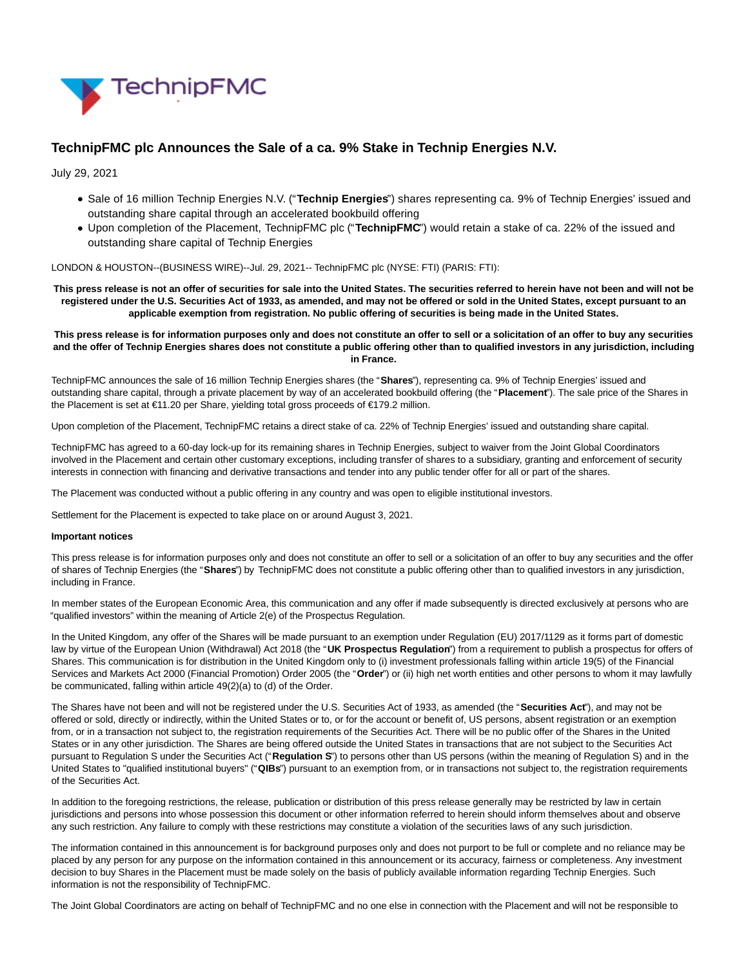

# **TechnipFMC plc Announces the Sale of a ca. 9% Stake in Technip Energies N.V.**

July 29, 2021

- Sale of 16 million Technip Energies N.V. ("**Technip Energies**") shares representing ca. 9% of Technip Energies' issued and outstanding share capital through an accelerated bookbuild offering
- Upon completion of the Placement, TechnipFMC plc ("**TechnipFMC**") would retain a stake of ca. 22% of the issued and outstanding share capital of Technip Energies

## LONDON & HOUSTON--(BUSINESS WIRE)--Jul. 29, 2021-- TechnipFMC plc (NYSE: FTI) (PARIS: FTI):

**This press release is not an offer of securities for sale into the United States. The securities referred to herein have not been and will not be registered under the U.S. Securities Act of 1933, as amended, and may not be offered or sold in the United States, except pursuant to an applicable exemption from registration. No public offering of securities is being made in the United States.**

## **This press release is for information purposes only and does not constitute an offer to sell or a solicitation of an offer to buy any securities and the offer of Technip Energies shares does not constitute a public offering other than to qualified investors in any jurisdiction, including in France.**

TechnipFMC announces the sale of 16 million Technip Energies shares (the "**Shares**"), representing ca. 9% of Technip Energies' issued and outstanding share capital, through a private placement by way of an accelerated bookbuild offering (the "**Placement**"). The sale price of the Shares in the Placement is set at €11.20 per Share, yielding total gross proceeds of €179.2 million.

Upon completion of the Placement, TechnipFMC retains a direct stake of ca. 22% of Technip Energies' issued and outstanding share capital.

TechnipFMC has agreed to a 60-day lock-up for its remaining shares in Technip Energies, subject to waiver from the Joint Global Coordinators involved in the Placement and certain other customary exceptions, including transfer of shares to a subsidiary, granting and enforcement of security interests in connection with financing and derivative transactions and tender into any public tender offer for all or part of the shares.

The Placement was conducted without a public offering in any country and was open to eligible institutional investors.

Settlement for the Placement is expected to take place on or around August 3, 2021.

## **Important notices**

This press release is for information purposes only and does not constitute an offer to sell or a solicitation of an offer to buy any securities and the offer of shares of Technip Energies (the "**Shares**") by TechnipFMC does not constitute a public offering other than to qualified investors in any jurisdiction, including in France.

In member states of the European Economic Area, this communication and any offer if made subsequently is directed exclusively at persons who are "qualified investors" within the meaning of Article 2(e) of the Prospectus Regulation.

In the United Kingdom, any offer of the Shares will be made pursuant to an exemption under Regulation (EU) 2017/1129 as it forms part of domestic law by virtue of the European Union (Withdrawal) Act 2018 (the "UK Prospectus Regulation") from a requirement to publish a prospectus for offers of Shares. This communication is for distribution in the United Kingdom only to (i) investment professionals falling within article 19(5) of the Financial Services and Markets Act 2000 (Financial Promotion) Order 2005 (the "**Order**") or (ii) high net worth entities and other persons to whom it may lawfully be communicated, falling within article 49(2)(a) to (d) of the Order.

The Shares have not been and will not be registered under the U.S. Securities Act of 1933, as amended (the "**Securities Act**"), and may not be offered or sold, directly or indirectly, within the United States or to, or for the account or benefit of, US persons, absent registration or an exemption from, or in a transaction not subject to, the registration requirements of the Securities Act. There will be no public offer of the Shares in the United States or in any other jurisdiction. The Shares are being offered outside the United States in transactions that are not subject to the Securities Act pursuant to Regulation S under the Securities Act ("**Regulation S**") to persons other than US persons (within the meaning of Regulation S) and in the United States to "qualified institutional buyers" ("**QIBs**") pursuant to an exemption from, or in transactions not subject to, the registration requirements of the Securities Act.

In addition to the foregoing restrictions, the release, publication or distribution of this press release generally may be restricted by law in certain jurisdictions and persons into whose possession this document or other information referred to herein should inform themselves about and observe any such restriction. Any failure to comply with these restrictions may constitute a violation of the securities laws of any such jurisdiction.

The information contained in this announcement is for background purposes only and does not purport to be full or complete and no reliance may be placed by any person for any purpose on the information contained in this announcement or its accuracy, fairness or completeness. Any investment decision to buy Shares in the Placement must be made solely on the basis of publicly available information regarding Technip Energies. Such information is not the responsibility of TechnipFMC.

The Joint Global Coordinators are acting on behalf of TechnipFMC and no one else in connection with the Placement and will not be responsible to